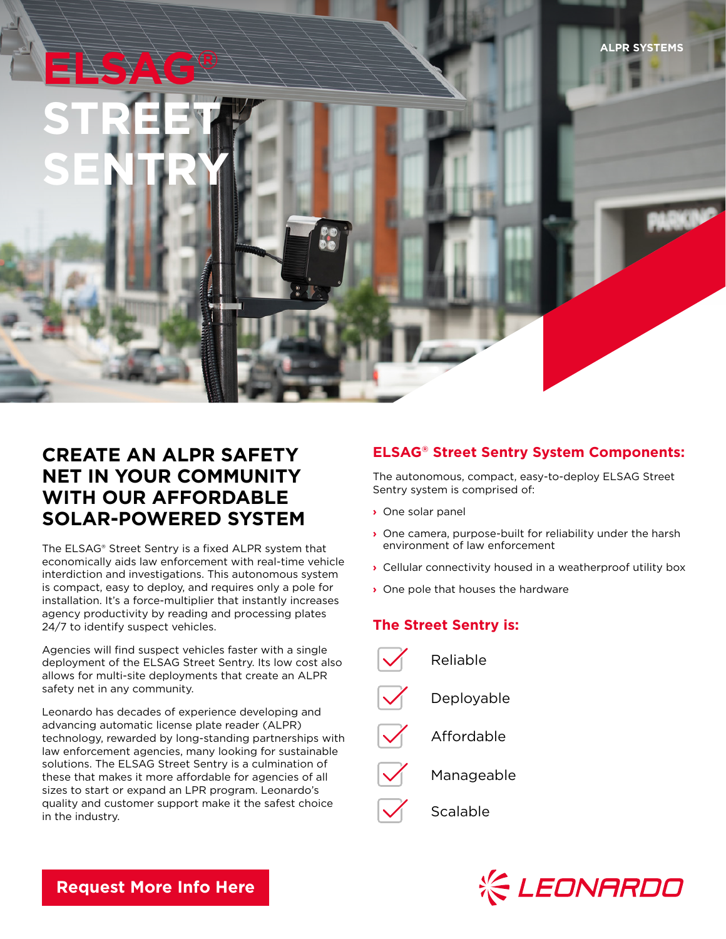# **CREATE AN ALPR SAFETY NET IN YOUR COMMUNITY WITH OUR AFFORDABLE SOLAR-POWERED SYSTEM**

**ELSAG®**

**STREET**

**SENTRY**

The ELSAG® Street Sentry is a fixed ALPR system that economically aids law enforcement with real-time vehicle interdiction and investigations. This autonomous system is compact, easy to deploy, and requires only a pole for installation. It's a force-multiplier that instantly increases agency productivity by reading and processing plates 24/7 to identify suspect vehicles.

Agencies will find suspect vehicles faster with a single deployment of the ELSAG Street Sentry. Its low cost also allows for multi-site deployments that create an ALPR safety net in any community.

Leonardo has decades of experience developing and advancing automatic license plate reader (ALPR) technology, rewarded by long-standing partnerships with law enforcement agencies, many looking for sustainable solutions. The ELSAG Street Sentry is a culmination of these that makes it more affordable for agencies of all sizes to start or expand an LPR program. Leonardo's quality and customer support make it the safest choice in the industry.

### **ELSAG® Street Sentry System Components:**

The autonomous, compact, easy-to-deploy ELSAG Street Sentry system is comprised of:

- **›** One solar panel
- **›** One camera, purpose-built for reliability under the harsh environment of law enforcement
- **›** Cellular connectivity housed in a weatherproof utility box
- **›** One pole that houses the hardware

## **The Street Sentry is:**





**[Request More Info Here](https://www.leonardocompany-us.com/lpr/qr_info_request)**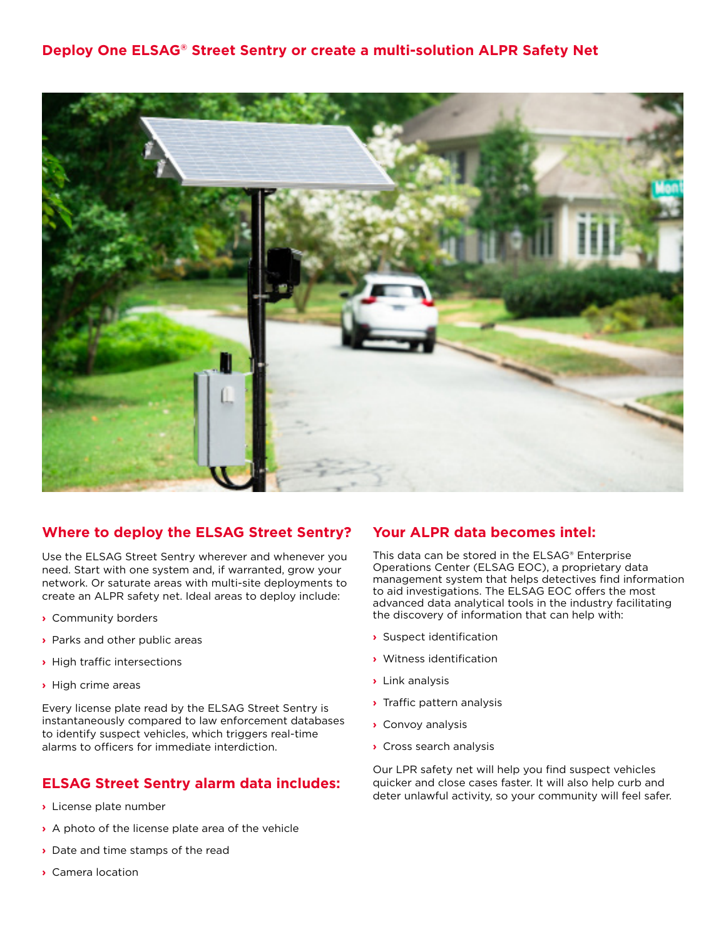

#### **Where to deploy the ELSAG Street Sentry?**

Use the ELSAG Street Sentry wherever and whenever you need. Start with one system and, if warranted, grow your network. Or saturate areas with multi-site deployments to create an ALPR safety net. Ideal areas to deploy include:

- **›** Community borders
- **›** Parks and other public areas
- **›** High traffic intersections
- **›** High crime areas

Every license plate read by the ELSAG Street Sentry is instantaneously compared to law enforcement databases to identify suspect vehicles, which triggers real-time alarms to officers for immediate interdiction.

#### **ELSAG Street Sentry alarm data includes:**

- **›** License plate number
- **›** A photo of the license plate area of the vehicle
- **›** Date and time stamps of the read
- **›** Camera location

#### **Your ALPR data becomes intel:**

This data can be stored in the ELSAG® Enterprise Operations Center (ELSAG EOC), a proprietary data management system that helps detectives find information to aid investigations. The ELSAG EOC offers the most advanced data analytical tools in the industry facilitating the discovery of information that can help with:

- **›** Suspect identification
- **›** Witness identification
- **›** Link analysis
- **›** Traffic pattern analysis
- **›** Convoy analysis
- **›** Cross search analysis

Our LPR safety net will help you find suspect vehicles quicker and close cases faster. It will also help curb and deter unlawful activity, so your community will feel safer.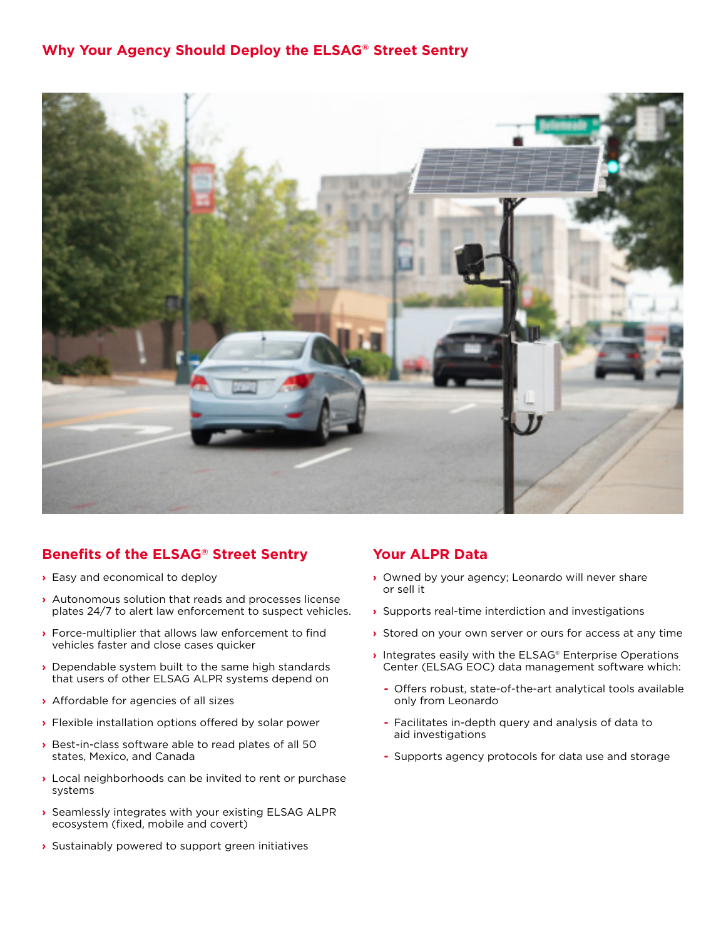#### **Why Your Agency Should Deploy the ELSAG® Street Sentry**



## **Benefits of the ELSAG® Street Sentry**

- **›** Easy and economical to deploy
- **›** Autonomous solution that reads and processes license plates 24/7 to alert law enforcement to suspect vehicles.
- **›** Force-multiplier that allows law enforcement to find vehicles faster and close cases quicker
- **›** Dependable system built to the same high standards that users of other ELSAG ALPR systems depend on
- **›** Affordable for agencies of all sizes
- **›** Flexible installation options offered by solar power
- **›** Best-in-class software able to read plates of all 50 states, Mexico, and Canada
- **›** Local neighborhoods can be invited to rent or purchase systems
- **›** Seamlessly integrates with your existing ELSAG ALPR ecosystem (fixed, mobile and covert)
- **›** Sustainably powered to support green initiatives

#### **Your ALPR Data**

- **›** Owned by your agency; Leonardo will never share or sell it
- **›** Supports real-time interdiction and investigations
- **›** Stored on your own server or ours for access at any time
- **›** Integrates easily with the ELSAG® Enterprise Operations Center (ELSAG EOC) data management software which:
	- **-** Offers robust, state-of-the-art analytical tools available only from Leonardo
	- **-** Facilitates in-depth query and analysis of data to aid investigations
	- **-** Supports agency protocols for data use and storage